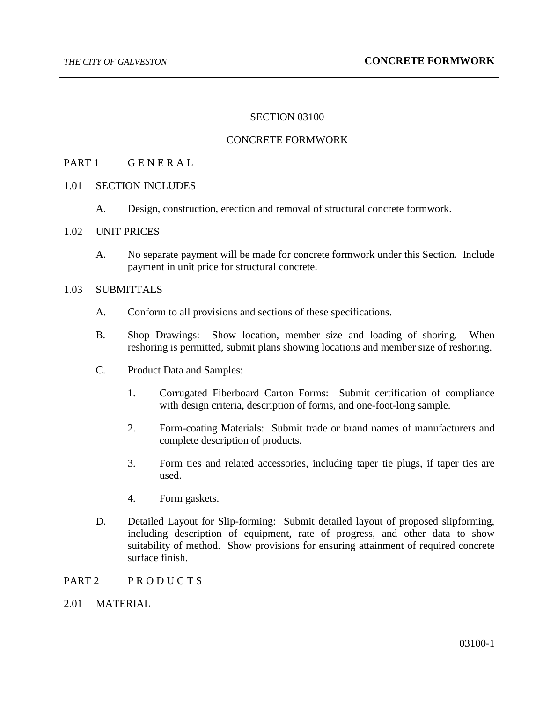### SECTION 03100

### CONCRETE FORMWORK

## PART 1 GENERAL

### 1.01 SECTION INCLUDES

A. Design, construction, erection and removal of structural concrete formwork.

### 1.02 UNIT PRICES

A. No separate payment will be made for concrete formwork under this Section. Include payment in unit price for structural concrete.

## 1.03 SUBMITTALS

- A. Conform to all provisions and sections of these specifications.
- B. Shop Drawings: Show location, member size and loading of shoring. When reshoring is permitted, submit plans showing locations and member size of reshoring.
- C. Product Data and Samples:
	- 1. Corrugated Fiberboard Carton Forms: Submit certification of compliance with design criteria, description of forms, and one-foot-long sample.
	- 2. Form-coating Materials: Submit trade or brand names of manufacturers and complete description of products.
	- 3. Form ties and related accessories, including taper tie plugs, if taper ties are used.
	- 4. Form gaskets.
- D. Detailed Layout for Slip-forming: Submit detailed layout of proposed slipforming, including description of equipment, rate of progress, and other data to show suitability of method. Show provisions for ensuring attainment of required concrete surface finish.
- PART 2 PRODUCTS
- 2.01 MATERIAL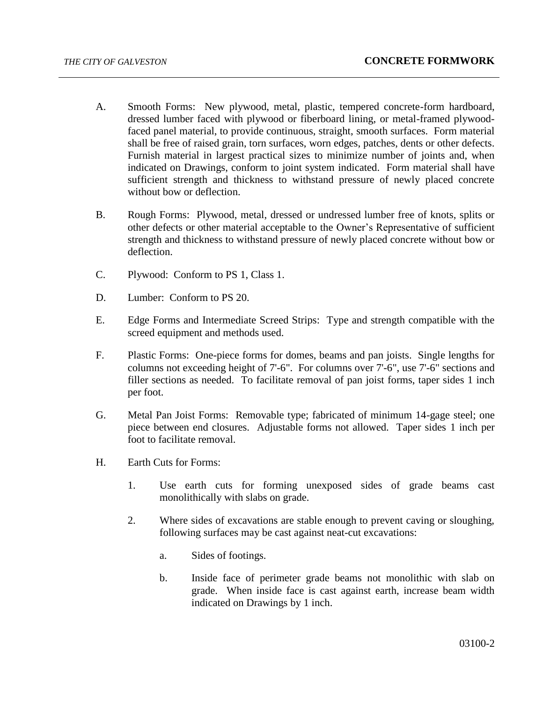- A. Smooth Forms: New plywood, metal, plastic, tempered concrete-form hardboard, dressed lumber faced with plywood or fiberboard lining, or metal-framed plywoodfaced panel material, to provide continuous, straight, smooth surfaces. Form material shall be free of raised grain, torn surfaces, worn edges, patches, dents or other defects. Furnish material in largest practical sizes to minimize number of joints and, when indicated on Drawings, conform to joint system indicated. Form material shall have sufficient strength and thickness to withstand pressure of newly placed concrete without bow or deflection.
- B. Rough Forms: Plywood, metal, dressed or undressed lumber free of knots, splits or other defects or other material acceptable to the Owner's Representative of sufficient strength and thickness to withstand pressure of newly placed concrete without bow or deflection.
- C. Plywood: Conform to PS 1, Class 1.
- D. Lumber: Conform to PS 20.
- E. Edge Forms and Intermediate Screed Strips: Type and strength compatible with the screed equipment and methods used.
- F. Plastic Forms: One-piece forms for domes, beams and pan joists. Single lengths for columns not exceeding height of 7'-6". For columns over 7'-6", use 7'-6" sections and filler sections as needed. To facilitate removal of pan joist forms, taper sides 1 inch per foot.
- G. Metal Pan Joist Forms: Removable type; fabricated of minimum 14-gage steel; one piece between end closures. Adjustable forms not allowed. Taper sides 1 inch per foot to facilitate removal.
- H. Earth Cuts for Forms:
	- 1. Use earth cuts for forming unexposed sides of grade beams cast monolithically with slabs on grade.
	- 2. Where sides of excavations are stable enough to prevent caving or sloughing, following surfaces may be cast against neat-cut excavations:
		- a. Sides of footings.
		- b. Inside face of perimeter grade beams not monolithic with slab on grade. When inside face is cast against earth, increase beam width indicated on Drawings by 1 inch.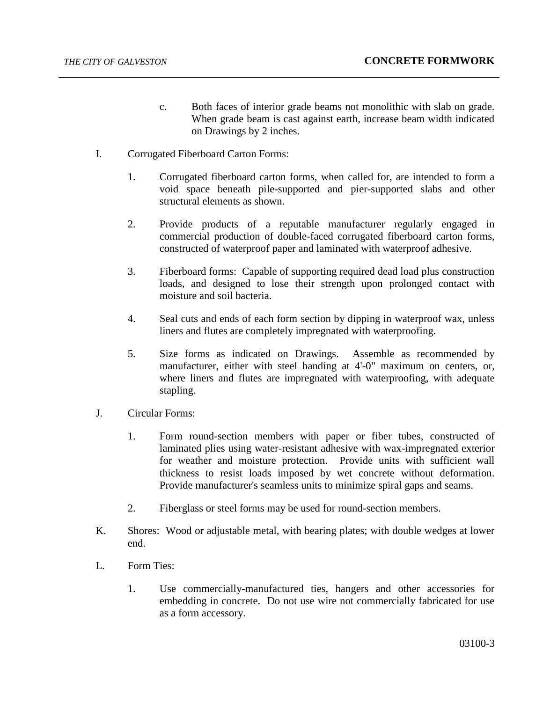- c. Both faces of interior grade beams not monolithic with slab on grade. When grade beam is cast against earth, increase beam width indicated on Drawings by 2 inches.
- I. Corrugated Fiberboard Carton Forms:
	- 1. Corrugated fiberboard carton forms, when called for, are intended to form a void space beneath pile-supported and pier-supported slabs and other structural elements as shown.
	- 2. Provide products of a reputable manufacturer regularly engaged in commercial production of double-faced corrugated fiberboard carton forms, constructed of waterproof paper and laminated with waterproof adhesive.
	- 3. Fiberboard forms: Capable of supporting required dead load plus construction loads, and designed to lose their strength upon prolonged contact with moisture and soil bacteria.
	- 4. Seal cuts and ends of each form section by dipping in waterproof wax, unless liners and flutes are completely impregnated with waterproofing.
	- 5. Size forms as indicated on Drawings. Assemble as recommended by manufacturer, either with steel banding at 4'-0" maximum on centers, or, where liners and flutes are impregnated with waterproofing, with adequate stapling.
- J. Circular Forms:
	- 1. Form round-section members with paper or fiber tubes, constructed of laminated plies using water-resistant adhesive with wax-impregnated exterior for weather and moisture protection. Provide units with sufficient wall thickness to resist loads imposed by wet concrete without deformation. Provide manufacturer's seamless units to minimize spiral gaps and seams.
	- 2. Fiberglass or steel forms may be used for round-section members.
- K. Shores: Wood or adjustable metal, with bearing plates; with double wedges at lower end.
- L. Form Ties:
	- 1. Use commercially-manufactured ties, hangers and other accessories for embedding in concrete. Do not use wire not commercially fabricated for use as a form accessory.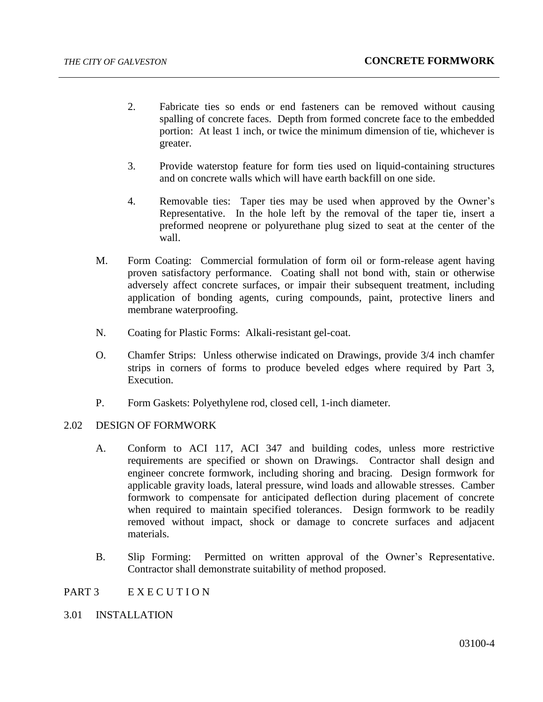- 2. Fabricate ties so ends or end fasteners can be removed without causing spalling of concrete faces. Depth from formed concrete face to the embedded portion: At least 1 inch, or twice the minimum dimension of tie, whichever is greater.
- 3. Provide waterstop feature for form ties used on liquid-containing structures and on concrete walls which will have earth backfill on one side.
- 4. Removable ties: Taper ties may be used when approved by the Owner's Representative. In the hole left by the removal of the taper tie, insert a preformed neoprene or polyurethane plug sized to seat at the center of the wall.
- M. Form Coating: Commercial formulation of form oil or form-release agent having proven satisfactory performance. Coating shall not bond with, stain or otherwise adversely affect concrete surfaces, or impair their subsequent treatment, including application of bonding agents, curing compounds, paint, protective liners and membrane waterproofing.
- N. Coating for Plastic Forms: Alkali-resistant gel-coat.
- O. Chamfer Strips: Unless otherwise indicated on Drawings, provide 3/4 inch chamfer strips in corners of forms to produce beveled edges where required by Part 3, Execution.
- P. Form Gaskets: Polyethylene rod, closed cell, 1-inch diameter.

## 2.02 DESIGN OF FORMWORK

- A. Conform to ACI 117, ACI 347 and building codes, unless more restrictive requirements are specified or shown on Drawings. Contractor shall design and engineer concrete formwork, including shoring and bracing. Design formwork for applicable gravity loads, lateral pressure, wind loads and allowable stresses. Camber formwork to compensate for anticipated deflection during placement of concrete when required to maintain specified tolerances. Design formwork to be readily removed without impact, shock or damage to concrete surfaces and adjacent materials.
- B. Slip Forming: Permitted on written approval of the Owner's Representative. Contractor shall demonstrate suitability of method proposed.

### PART 3 EXECUTION

## 3.01 INSTALLATION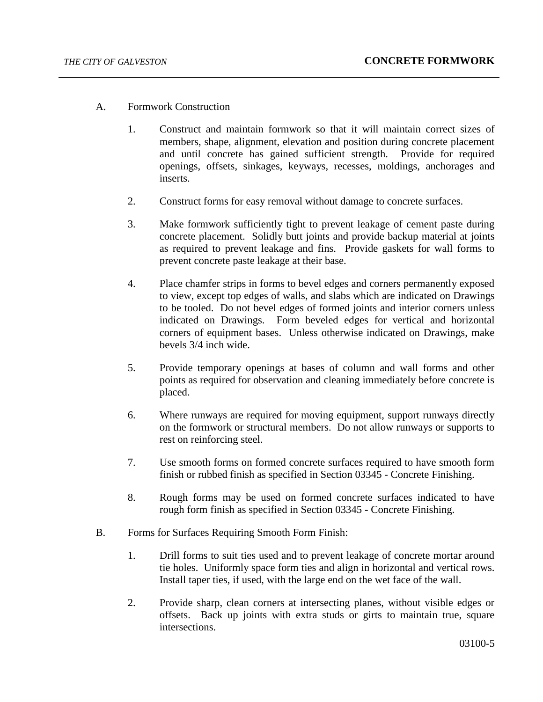- A. Formwork Construction
	- 1. Construct and maintain formwork so that it will maintain correct sizes of members, shape, alignment, elevation and position during concrete placement and until concrete has gained sufficient strength. Provide for required openings, offsets, sinkages, keyways, recesses, moldings, anchorages and inserts.
	- 2. Construct forms for easy removal without damage to concrete surfaces.
	- 3. Make formwork sufficiently tight to prevent leakage of cement paste during concrete placement. Solidly butt joints and provide backup material at joints as required to prevent leakage and fins. Provide gaskets for wall forms to prevent concrete paste leakage at their base.
	- 4. Place chamfer strips in forms to bevel edges and corners permanently exposed to view, except top edges of walls, and slabs which are indicated on Drawings to be tooled. Do not bevel edges of formed joints and interior corners unless indicated on Drawings. Form beveled edges for vertical and horizontal corners of equipment bases. Unless otherwise indicated on Drawings, make bevels 3/4 inch wide.
	- 5. Provide temporary openings at bases of column and wall forms and other points as required for observation and cleaning immediately before concrete is placed.
	- 6. Where runways are required for moving equipment, support runways directly on the formwork or structural members. Do not allow runways or supports to rest on reinforcing steel.
	- 7. Use smooth forms on formed concrete surfaces required to have smooth form finish or rubbed finish as specified in Section 03345 - Concrete Finishing.
	- 8. Rough forms may be used on formed concrete surfaces indicated to have rough form finish as specified in Section 03345 - Concrete Finishing.
- B. Forms for Surfaces Requiring Smooth Form Finish:
	- 1. Drill forms to suit ties used and to prevent leakage of concrete mortar around tie holes. Uniformly space form ties and align in horizontal and vertical rows. Install taper ties, if used, with the large end on the wet face of the wall.
	- 2. Provide sharp, clean corners at intersecting planes, without visible edges or offsets. Back up joints with extra studs or girts to maintain true, square intersections.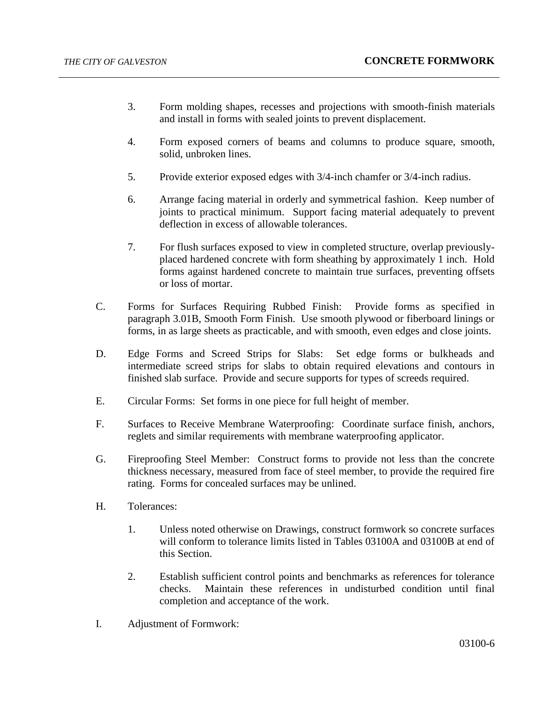- 3. Form molding shapes, recesses and projections with smooth-finish materials and install in forms with sealed joints to prevent displacement.
- 4. Form exposed corners of beams and columns to produce square, smooth, solid, unbroken lines.
- 5. Provide exterior exposed edges with 3/4-inch chamfer or 3/4-inch radius.
- 6. Arrange facing material in orderly and symmetrical fashion. Keep number of joints to practical minimum. Support facing material adequately to prevent deflection in excess of allowable tolerances.
- 7. For flush surfaces exposed to view in completed structure, overlap previouslyplaced hardened concrete with form sheathing by approximately 1 inch. Hold forms against hardened concrete to maintain true surfaces, preventing offsets or loss of mortar.
- C. Forms for Surfaces Requiring Rubbed Finish: Provide forms as specified in paragraph 3.01B, Smooth Form Finish. Use smooth plywood or fiberboard linings or forms, in as large sheets as practicable, and with smooth, even edges and close joints.
- D. Edge Forms and Screed Strips for Slabs: Set edge forms or bulkheads and intermediate screed strips for slabs to obtain required elevations and contours in finished slab surface. Provide and secure supports for types of screeds required.
- E. Circular Forms: Set forms in one piece for full height of member.
- F. Surfaces to Receive Membrane Waterproofing: Coordinate surface finish, anchors, reglets and similar requirements with membrane waterproofing applicator.
- G. Fireproofing Steel Member: Construct forms to provide not less than the concrete thickness necessary, measured from face of steel member, to provide the required fire rating. Forms for concealed surfaces may be unlined.
- H. Tolerances:
	- 1. Unless noted otherwise on Drawings, construct formwork so concrete surfaces will conform to tolerance limits listed in Tables 03100A and 03100B at end of this Section.
	- 2. Establish sufficient control points and benchmarks as references for tolerance checks. Maintain these references in undisturbed condition until final completion and acceptance of the work.
- I. Adjustment of Formwork: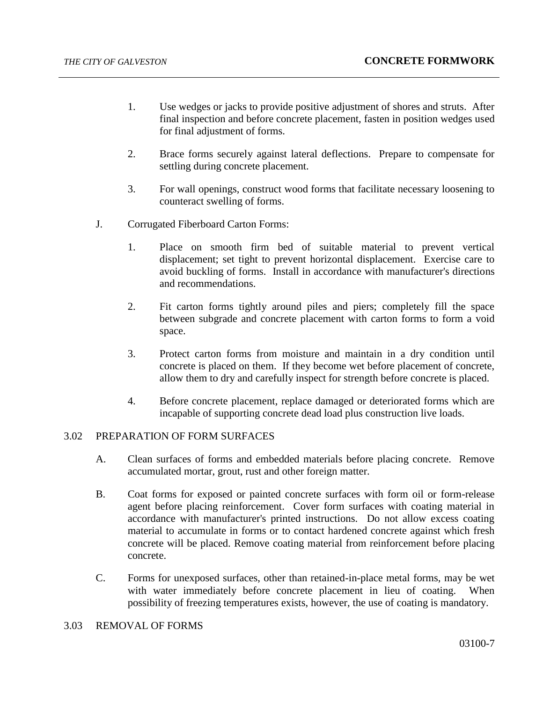- 1. Use wedges or jacks to provide positive adjustment of shores and struts. After final inspection and before concrete placement, fasten in position wedges used for final adjustment of forms.
- 2. Brace forms securely against lateral deflections. Prepare to compensate for settling during concrete placement.
- 3. For wall openings, construct wood forms that facilitate necessary loosening to counteract swelling of forms.
- J. Corrugated Fiberboard Carton Forms:
	- 1. Place on smooth firm bed of suitable material to prevent vertical displacement; set tight to prevent horizontal displacement. Exercise care to avoid buckling of forms. Install in accordance with manufacturer's directions and recommendations.
	- 2. Fit carton forms tightly around piles and piers; completely fill the space between subgrade and concrete placement with carton forms to form a void space.
	- 3. Protect carton forms from moisture and maintain in a dry condition until concrete is placed on them. If they become wet before placement of concrete, allow them to dry and carefully inspect for strength before concrete is placed.
	- 4. Before concrete placement, replace damaged or deteriorated forms which are incapable of supporting concrete dead load plus construction live loads.

## 3.02 PREPARATION OF FORM SURFACES

- A. Clean surfaces of forms and embedded materials before placing concrete. Remove accumulated mortar, grout, rust and other foreign matter.
- B. Coat forms for exposed or painted concrete surfaces with form oil or form-release agent before placing reinforcement. Cover form surfaces with coating material in accordance with manufacturer's printed instructions. Do not allow excess coating material to accumulate in forms or to contact hardened concrete against which fresh concrete will be placed. Remove coating material from reinforcement before placing concrete.
- C. Forms for unexposed surfaces, other than retained-in-place metal forms, may be wet with water immediately before concrete placement in lieu of coating. When possibility of freezing temperatures exists, however, the use of coating is mandatory.

## 3.03 REMOVAL OF FORMS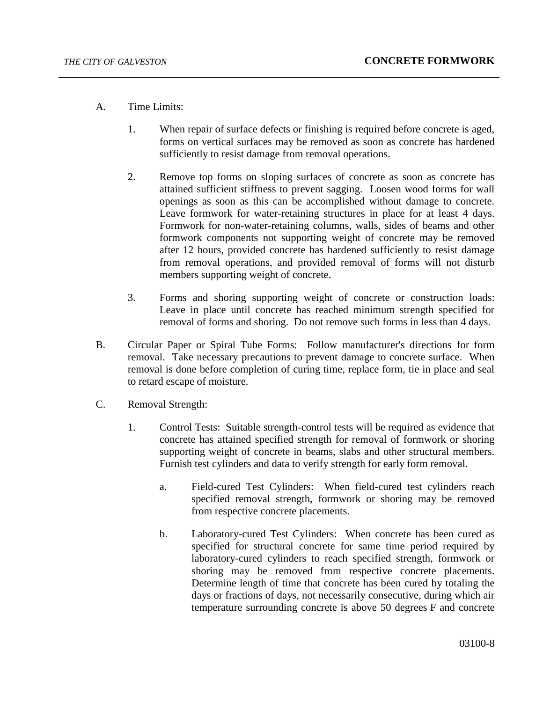- A. Time Limits:
	- 1. When repair of surface defects or finishing is required before concrete is aged, forms on vertical surfaces may be removed as soon as concrete has hardened sufficiently to resist damage from removal operations.
	- 2. Remove top forms on sloping surfaces of concrete as soon as concrete has attained sufficient stiffness to prevent sagging. Loosen wood forms for wall openings as soon as this can be accomplished without damage to concrete. Leave formwork for water-retaining structures in place for at least 4 days. Formwork for non-water-retaining columns, walls, sides of beams and other formwork components not supporting weight of concrete may be removed after 12 hours, provided concrete has hardened sufficiently to resist damage from removal operations, and provided removal of forms will not disturb members supporting weight of concrete.
	- 3. Forms and shoring supporting weight of concrete or construction loads: Leave in place until concrete has reached minimum strength specified for removal of forms and shoring. Do not remove such forms in less than 4 days.
- B. Circular Paper or Spiral Tube Forms: Follow manufacturer's directions for form removal. Take necessary precautions to prevent damage to concrete surface. When removal is done before completion of curing time, replace form, tie in place and seal to retard escape of moisture.
- C. Removal Strength:
	- 1. Control Tests: Suitable strength-control tests will be required as evidence that concrete has attained specified strength for removal of formwork or shoring supporting weight of concrete in beams, slabs and other structural members. Furnish test cylinders and data to verify strength for early form removal.
		- a. Field-cured Test Cylinders: When field-cured test cylinders reach specified removal strength, formwork or shoring may be removed from respective concrete placements.
		- b. Laboratory-cured Test Cylinders: When concrete has been cured as specified for structural concrete for same time period required by laboratory-cured cylinders to reach specified strength, formwork or shoring may be removed from respective concrete placements. Determine length of time that concrete has been cured by totaling the days or fractions of days, not necessarily consecutive, during which air temperature surrounding concrete is above 50 degrees F and concrete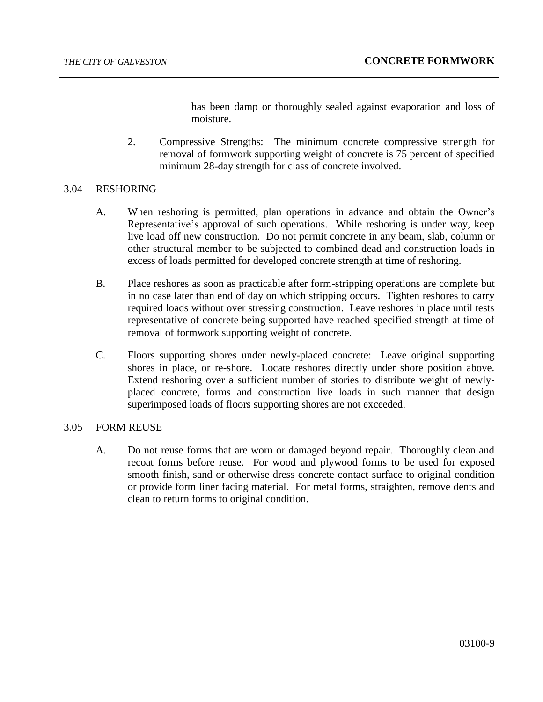has been damp or thoroughly sealed against evaporation and loss of moisture.

2. Compressive Strengths: The minimum concrete compressive strength for removal of formwork supporting weight of concrete is 75 percent of specified minimum 28-day strength for class of concrete involved.

### 3.04 RESHORING

- A. When reshoring is permitted, plan operations in advance and obtain the Owner's Representative's approval of such operations. While reshoring is under way, keep live load off new construction. Do not permit concrete in any beam, slab, column or other structural member to be subjected to combined dead and construction loads in excess of loads permitted for developed concrete strength at time of reshoring.
- B. Place reshores as soon as practicable after form-stripping operations are complete but in no case later than end of day on which stripping occurs. Tighten reshores to carry required loads without over stressing construction. Leave reshores in place until tests representative of concrete being supported have reached specified strength at time of removal of formwork supporting weight of concrete.
- C. Floors supporting shores under newly-placed concrete: Leave original supporting shores in place, or re-shore. Locate reshores directly under shore position above. Extend reshoring over a sufficient number of stories to distribute weight of newlyplaced concrete, forms and construction live loads in such manner that design superimposed loads of floors supporting shores are not exceeded.

#### 3.05 FORM REUSE

A. Do not reuse forms that are worn or damaged beyond repair. Thoroughly clean and recoat forms before reuse. For wood and plywood forms to be used for exposed smooth finish, sand or otherwise dress concrete contact surface to original condition or provide form liner facing material. For metal forms, straighten, remove dents and clean to return forms to original condition.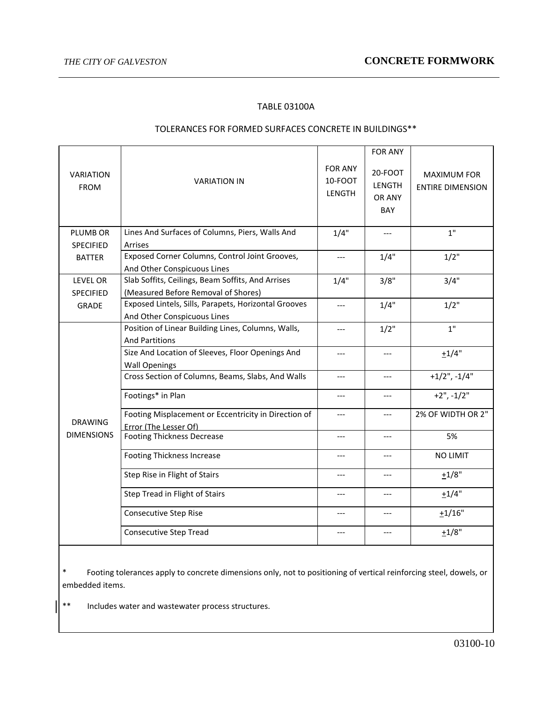## TABLE 03100A

#### TOLERANCES FOR FORMED SURFACES CONCRETE IN BUILDINGS\*\*

| <b>VARIATION</b><br><b>FROM</b>     | <b>VARIATION IN</b>                                  | <b>FOR ANY</b><br>10-FOOT<br><b>LENGTH</b> | <b>FOR ANY</b><br>20-FOOT<br>LENGTH<br>OR ANY<br>BAY | <b>MAXIMUM FOR</b><br><b>ENTIRE DIMENSION</b> |
|-------------------------------------|------------------------------------------------------|--------------------------------------------|------------------------------------------------------|-----------------------------------------------|
| PLUMB OR                            | Lines And Surfaces of Columns, Piers, Walls And      | 1/4"                                       | $---$                                                | 1"                                            |
| <b>SPECIFIED</b>                    | Arrises                                              |                                            |                                                      |                                               |
| <b>BATTER</b>                       | Exposed Corner Columns, Control Joint Grooves,       | $---$                                      | 1/4"                                                 | 1/2"                                          |
|                                     | And Other Conspicuous Lines                          |                                            |                                                      |                                               |
| <b>LEVEL OR</b>                     | Slab Soffits, Ceilings, Beam Soffits, And Arrises    | 1/4"                                       | 3/8"                                                 | 3/4"                                          |
| <b>SPECIFIED</b>                    | (Measured Before Removal of Shores)                  |                                            |                                                      |                                               |
| <b>GRADE</b>                        | Exposed Lintels, Sills, Parapets, Horizontal Grooves | $---$                                      | 1/4"                                                 | 1/2"                                          |
|                                     | And Other Conspicuous Lines                          |                                            |                                                      |                                               |
| <b>DRAWING</b><br><b>DIMENSIONS</b> | Position of Linear Building Lines, Columns, Walls,   | $---$                                      | $1/2$ "                                              | 1"                                            |
|                                     | <b>And Partitions</b>                                |                                            |                                                      |                                               |
|                                     | Size And Location of Sleeves, Floor Openings And     | $---$                                      | $---$                                                | $+1/4"$                                       |
|                                     | <b>Wall Openings</b>                                 |                                            |                                                      |                                               |
|                                     | Cross Section of Columns, Beams, Slabs, And Walls    | $---$                                      | $---$                                                | $+1/2$ ", $-1/4$ "                            |
|                                     | Footings* in Plan                                    | $---$                                      | $---$                                                | $+2$ ", $-1/2$ "                              |
|                                     | Footing Misplacement or Eccentricity in Direction of | $---$                                      | ---                                                  | 2% OF WIDTH OR 2"                             |
|                                     | Error (The Lesser Of)                                |                                            |                                                      |                                               |
|                                     | <b>Footing Thickness Decrease</b>                    | $---$                                      | $---$                                                | 5%                                            |
|                                     | <b>Footing Thickness Increase</b>                    | ---                                        | $---$                                                | <b>NO LIMIT</b>                               |
|                                     | Step Rise in Flight of Stairs                        | $---$                                      | $---$                                                | $+1/8"$                                       |
|                                     | Step Tread in Flight of Stairs                       | $---$                                      | ---                                                  | $+1/4"$                                       |
|                                     | <b>Consecutive Step Rise</b>                         | $---$                                      | $---$                                                | $+1/16"$                                      |
|                                     | <b>Consecutive Step Tread</b>                        | $---$                                      | ---                                                  | ±1/8"                                         |
|                                     |                                                      |                                            |                                                      |                                               |

\* Footing tolerances apply to concrete dimensions only, not to positioning of vertical reinforcing steel, dowels, or embedded items.

\*\* Includes water and wastewater process structures.